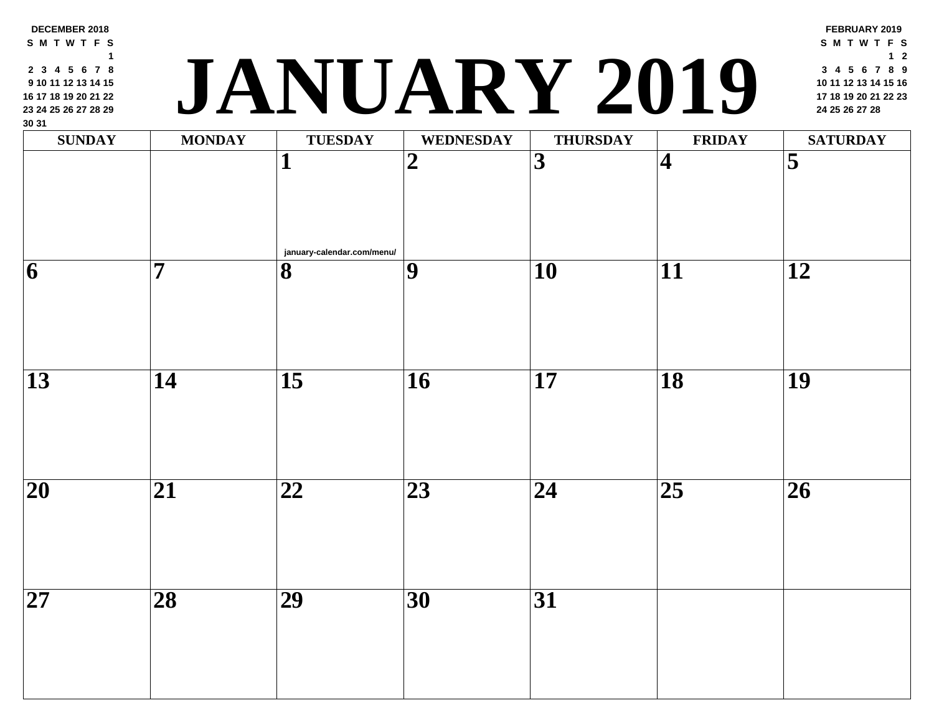| <b>SUNDAY</b>            | <b>MONDAY</b>   | <b>TUESDAY</b>                                        | <b>WEDNESDAY</b> | <b>THURSDAY</b> | <b>FRII</b>             |
|--------------------------|-----------------|-------------------------------------------------------|------------------|-----------------|-------------------------|
|                          |                 | 1                                                     | $\boldsymbol{2}$ | 3               | $\overline{\mathbf{4}}$ |
| $\vert 6 \vert$          | 7               | january-calendar.com/menu/<br>$\overline{\mathbf{8}}$ | $\overline{9}$   | 10              | 11                      |
|                          |                 |                                                       |                  |                 |                         |
| 13                       | 14              | $\overline{15}$                                       | 16               | 17              | 18                      |
| $\overline{\mathbf{20}}$ | 21              | 22                                                    | 23               | 24              | $\overline{25}$         |
| $\overline{\mathbf{27}}$ | $\overline{28}$ | $\overline{29}$                                       | $\overline{30}$  | $\overline{31}$ |                         |

**DECEMBER 2018 S M T W T F S**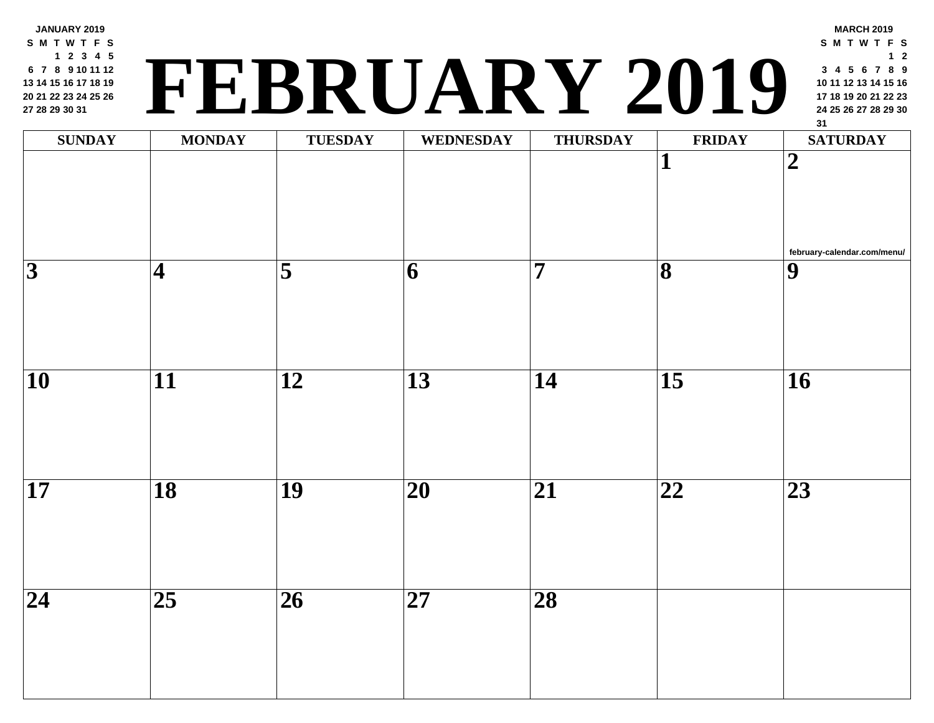**JANUARY 2019 S M T W T F S 2 3 4 5 7 8 9 10 11 12 14 15 16 17 18 19 21 22 23 24 25 26 28 29 30 31**

## **<sup>24</sup> <sup>25</sup> <sup>26</sup> <sup>27</sup> <sup>28</sup> <sup>29</sup> <sup>30</sup> FEBRUARY 2019**

| <b>SUNDAY</b>           | <b>MONDAY</b>            | <b>TUESDAY</b>  | WEDNESDAY       | <b>THURSDAY</b>         | FRII                         |
|-------------------------|--------------------------|-----------------|-----------------|-------------------------|------------------------------|
|                         |                          |                 |                 |                         | $\mathbf{1}$                 |
| $\overline{\mathbf{3}}$ | $\vert 4 \vert$          | $\overline{5}$  | $\overline{6}$  | $\overline{\mathbf{7}}$ | $\overline{\mathbf{8}}$      |
| $\overline{10}$         | $\overline{\mathbf{11}}$ | $\overline{12}$ | $\overline{13}$ | $\overline{14}$         | $\overline{15}$              |
| $\overline{17}$         | $\overline{18}$          | $\overline{19}$ | $\overline{20}$ | $\overline{21}$         | $\overline{\boldsymbol{22}}$ |
| $\overline{24}$         | $\overline{25}$          | $\overline{26}$ | $\overline{27}$ | $\overline{28}$         |                              |
|                         |                          |                 |                 |                         |                              |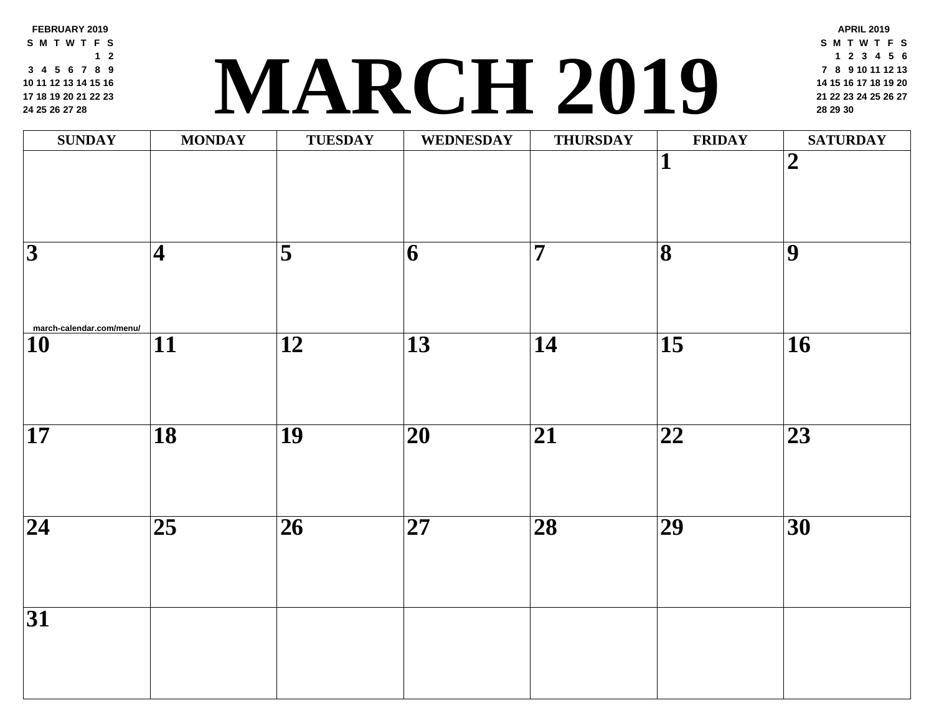**FEBRUARY 2019 S M T W T F S 2 4 5 6 7 8 9 11 12 13 14 15 16 18 19 20 21 22 23 [25](http://march-calendar.com/menu/) 26 27 28**

### **<sup>21</sup> <sup>22</sup> <sup>23</sup> <sup>24</sup> <sup>25</sup> <sup>26</sup> <sup>27</sup> MARCH 2019 <sup>28</sup> <sup>29</sup> <sup>30</sup>**

| <b>SUNDAY</b>            | <b>MONDAY</b>              | <b>TUESDAY</b>      | <b>WEDNESDAY</b>        | <b>THURSDAY</b> | FRII                         |
|--------------------------|----------------------------|---------------------|-------------------------|-----------------|------------------------------|
|                          |                            |                     |                         |                 | $\mathbf{1}$                 |
| $\overline{3}$           | $\vert\mathbf{4}% \rangle$ | $\overline{\bf{5}}$ | $\overline{\mathbf{6}}$ | $\overline{7}$  | $\overline{\mathbf{8}}$      |
| march-calendar.com/menu/ |                            |                     |                         |                 |                              |
| $\overline{10}$          | $\overline{11}$            | $\overline{12}$     | $\overline{13}$         | $\overline{14}$ | $\overline{15}$              |
| $\overline{17}$          | $\overline{18}$            | $\overline{19}$     | $\overline{20}$         | $\overline{21}$ | $\overline{\boldsymbol{22}}$ |
| $\overline{24}$          | $\overline{25}$            | $\overline{26}$     | $\overline{27}$         | $\overline{28}$ | $\overline{29}$              |
| $\overline{31}$          |                            |                     |                         |                 |                              |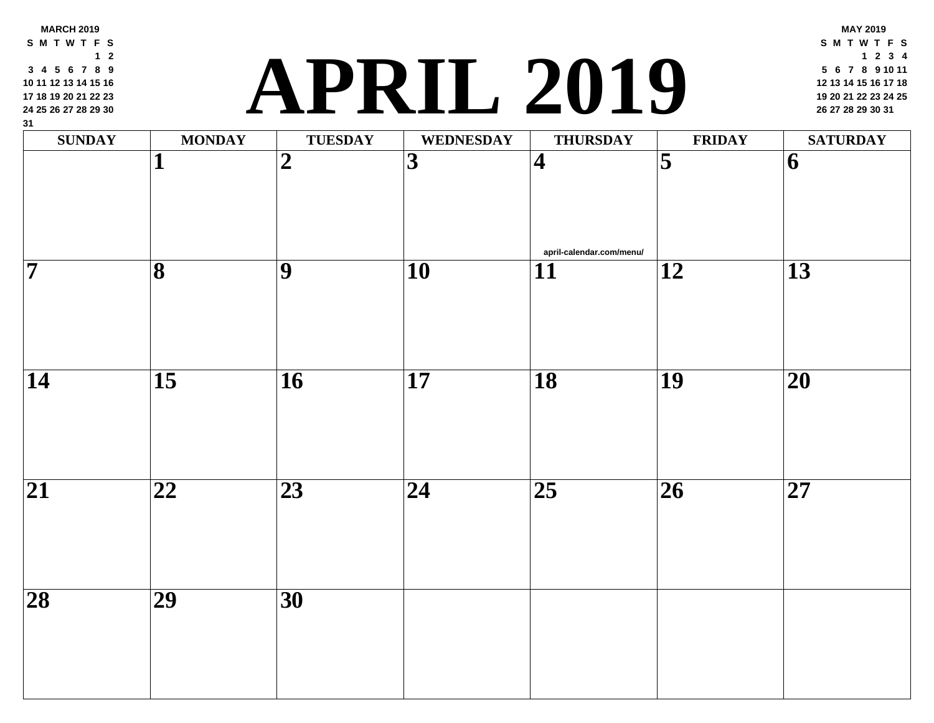# **<sup>19</sup> <sup>20</sup> <sup>21</sup> <sup>22</sup> <sup>23</sup> <sup>24</sup> <sup>25</sup> APRIL 2019 <sup>26</sup> <sup>27</sup> <sup>28</sup> <sup>29</sup> <sup>30</sup> <sup>31</sup>**

| $\mathbf{v}$<br>$\mathbf{SUNDAY}$ | <b>MONDAY</b>           | <b>TUESDAY</b>  | <b>WEDNESDAY</b>        | <b>THURSDAY</b>                             | FRII            |
|-----------------------------------|-------------------------|-----------------|-------------------------|---------------------------------------------|-----------------|
|                                   | $\mathbf{1}$            | $\overline{2}$  | $\overline{\mathbf{3}}$ | $\vert 4 \vert$                             | $\overline{5}$  |
| $\overline{\mathbf{7}}$           | $\overline{\mathbf{8}}$ | $\overline{9}$  | $\overline{10}$         | april-calendar.com/menu/<br>$\overline{11}$ | $\overline{12}$ |
|                                   |                         |                 |                         |                                             |                 |
| $\overline{14}$                   | $\overline{15}$         | $\overline{16}$ | $\overline{17}$         | $\overline{18}$                             | $\overline{19}$ |
| $\overline{21}$                   | $\overline{22}$         | $\overline{23}$ | $\overline{24}$         | $\overline{25}$                             | $\overline{26}$ |
| $\overline{28}$                   | $\overline{29}$         | $\overline{30}$ |                         |                                             |                 |
|                                   |                         |                 |                         |                                             |                 |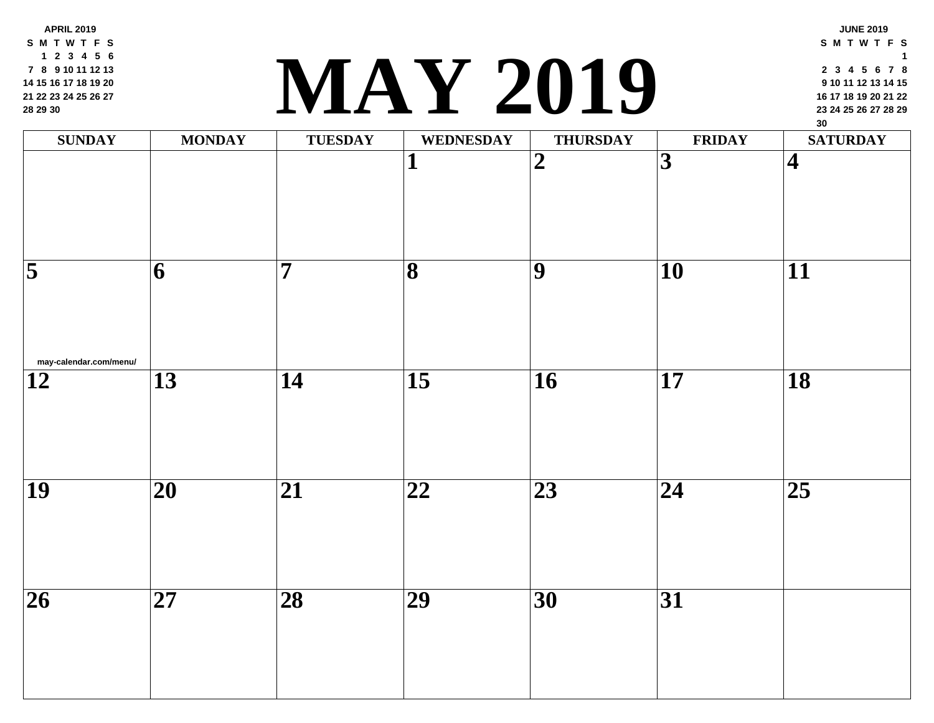**APRIL 2019 S M T W T F S 2 3 4 5 6 8 9 10 11 12 13 15 16 17 18 19 20 22 23 24 25 26 27 29 30**

#### **<sup>23</sup> <sup>24</sup> <sup>25</sup> <sup>26</sup> <sup>27</sup> <sup>28</sup> <sup>29</sup> MAY 2019**

| <b>SUNDAY</b>                            | <b>MONDAY</b>           | TUESDAY         | WEDNESDAY               | <b>THURSDAY</b>         | FRII                    |
|------------------------------------------|-------------------------|-----------------|-------------------------|-------------------------|-------------------------|
|                                          |                         |                 | Т                       | $\overline{\mathbf{2}}$ | $\overline{\mathbf{3}}$ |
| $\overline{5}$<br>may-calendar.com/menu/ | $\overline{\mathbf{6}}$ | $\overline{7}$  | $\overline{\mathbf{8}}$ | $\overline{9}$          | $\overline{10}$         |
| $\overline{12}$                          | $\overline{13}$         | $\overline{14}$ | $\overline{15}$         | $\overline{16}$         | $\overline{17}$         |
| $\overline{19}$                          | $\overline{20}$         | $\overline{21}$ | $\overline{22}$         | $\overline{23}$         | $\overline{24}$         |
| $\overline{26}$                          | $\overline{27}$         | $\overline{28}$ | $\overline{29}$         | $\overline{30}$         | $\overline{31}$         |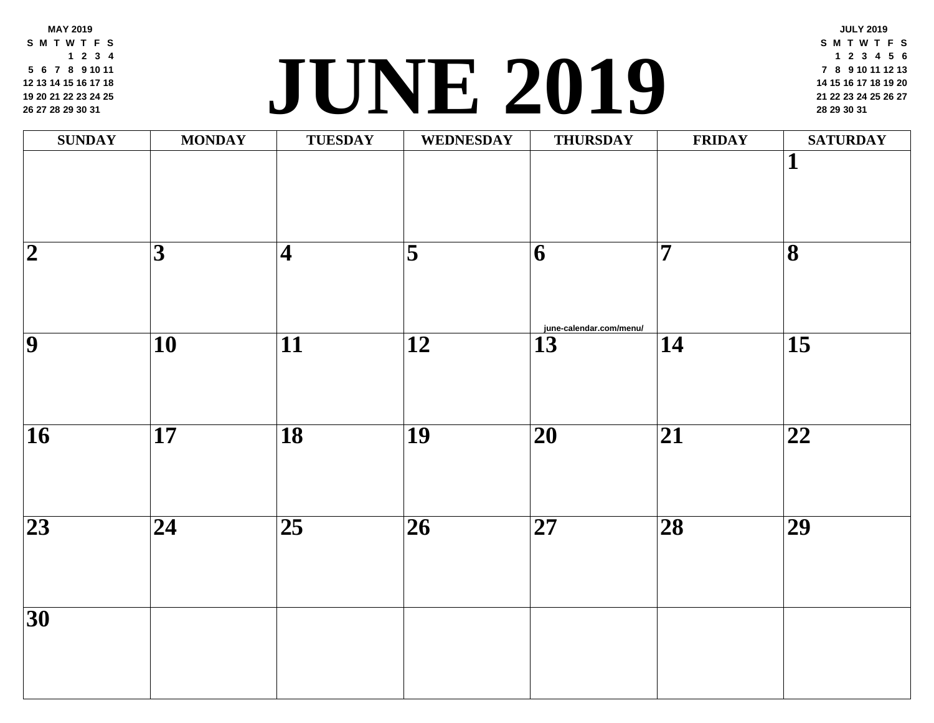**MAY 2019 S M T W T F S 2 3 4 6 7 8 9 10 11 13 14 15 16 17 18 20 21 22 23 24 25 27 28 29 30 31**

#### **<sup>21</sup> <sup>22</sup> <sup>23</sup> <sup>24</sup> <sup>25</sup> <sup>26</sup> <sup>27</sup> JUNE [2019](http://june-calendar.com/menu/) <sup>28</sup> <sup>29</sup> <sup>30</sup> <sup>31</sup>**

| <b>SUNDAY</b>            | <b>MONDAY</b>            | <b>TUESDAY</b>          | WEDNESDAY                | <b>THURSDAY</b>         | FRII            |
|--------------------------|--------------------------|-------------------------|--------------------------|-------------------------|-----------------|
|                          |                          |                         |                          |                         |                 |
|                          |                          |                         |                          |                         |                 |
| $\overline{\mathbf{2}}$  | $\overline{3}$           | $\overline{\mathbf{4}}$ | $\overline{\mathbf{5}}$  | 6                       | $\overline{7}$  |
|                          |                          |                         |                          |                         |                 |
|                          |                          |                         |                          | june-calendar.com/menu/ |                 |
| $\overline{9}$           | $\overline{10}$          | $\overline{11}$         | $\overline{12}$          | $\overline{13}$         | $\overline{14}$ |
|                          |                          |                         |                          |                         |                 |
| $\overline{\mathbf{16}}$ | $\overline{17}$          | $\overline{18}$         | $\overline{19}$          | $\overline{20}$         | $\overline{21}$ |
|                          |                          |                         |                          |                         |                 |
|                          |                          |                         |                          |                         |                 |
| $\overline{23}$          | $\overline{\mathbf{24}}$ | $\overline{25}$         | $\overline{\mathbf{26}}$ | $\overline{27}$         | $\overline{28}$ |
|                          |                          |                         |                          |                         |                 |
|                          |                          |                         |                          |                         |                 |
| $\overline{30}$          |                          |                         |                          |                         |                 |
|                          |                          |                         |                          |                         |                 |
|                          |                          |                         |                          |                         |                 |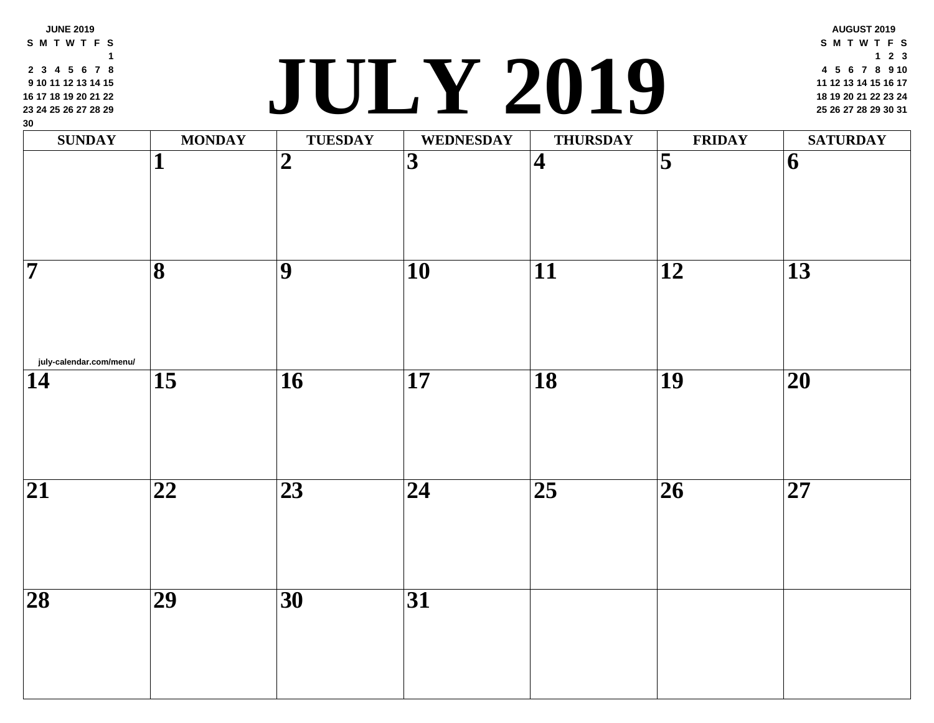| 9 10 11 12 13 14 15<br>16 17 18 19 20 21 22<br>23 24 25 26 27 28 29<br>30 |                         | $\mathbf{d}$    | JULY ZUIY               |                         |                     |
|---------------------------------------------------------------------------|-------------------------|-----------------|-------------------------|-------------------------|---------------------|
| <b>SUNDAY</b>                                                             | <b>MONDAY</b>           | <b>TUESDAY</b>  | <b>WEDNESDAY</b>        | <b>THURSDAY</b>         | <b>FRII</b>         |
|                                                                           | 1                       | $\overline{2}$  | $\overline{\mathbf{3}}$ | $\overline{\mathbf{4}}$ | $\overline{\bf{5}}$ |
| $\overline{7}$                                                            | $\overline{\mathbf{8}}$ | 9               | 10                      | $\overline{11}$         | 12                  |
| july-calendar.com/menu/<br>14                                             | $\overline{15}$         | $\overline{16}$ | $\overline{17}$         | $\overline{18}$         | $\overline{19}$     |
| $\overline{21}$                                                           | $\overline{22}$         | $\overline{23}$ | $\overline{24}$         | $\overline{25}$         | $\overline{26}$     |
| $\overline{28}$                                                           | $\overline{29}$         | 30              | $\overline{31}$         |                         |                     |
|                                                                           |                         |                 |                         |                         |                     |

**S M T W T F S 3 4 5 6 7 8**

**JUNE 2019**

#### **<sup>18</sup> <sup>19</sup> <sup>20</sup> <sup>21</sup> <sup>22</sup> <sup>23</sup> <sup>24</sup> JULY 2019 <sup>25</sup> <sup>26</sup> <sup>27</sup> <sup>28</sup> <sup>29</sup> <sup>30</sup> <sup>31</sup>**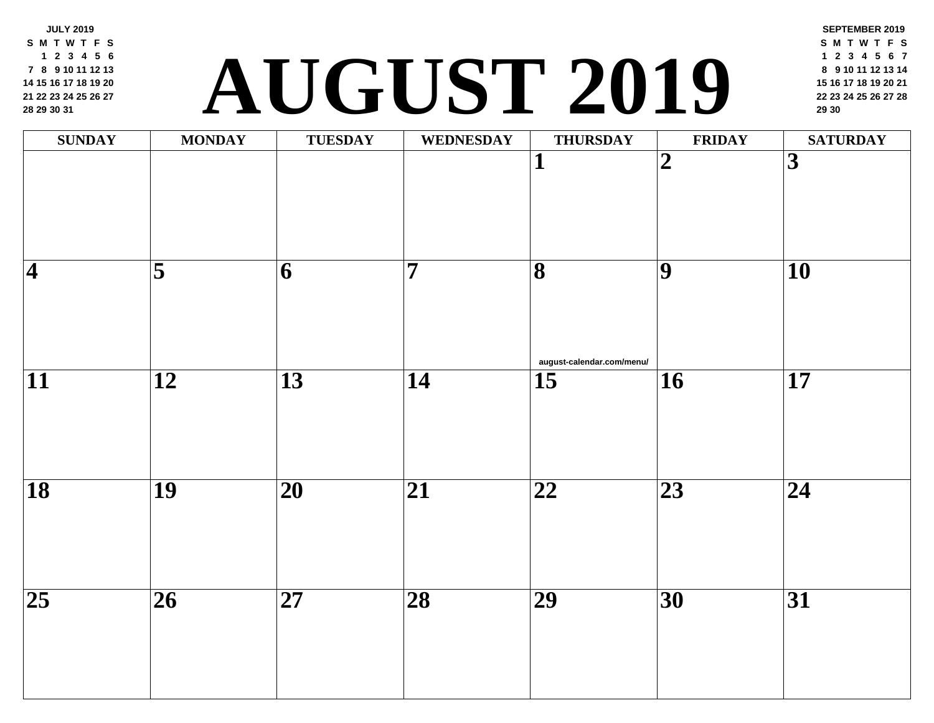**JULY 2019 S M T W T F S 2 3 4 5 6 8 9 10 11 12 13 15 16 17 18 19 20 22 23 24 25 26 27 29 30 31**

### **<sup>22</sup> <sup>23</sup> <sup>24</sup> <sup>25</sup> <sup>26</sup> <sup>27</sup> <sup>28</sup> AUGUST 2019 <sup>29</sup> <sup>30</sup>**

| <b>SUNDAY</b>       | <b>MONDAY</b>           | <b>TUESDAY</b>           | <b>WEDNESDAY</b>        | <b>THURSDAY</b>                                      | FRII            |
|---------------------|-------------------------|--------------------------|-------------------------|------------------------------------------------------|-----------------|
|                     |                         |                          |                         | $\overline{\mathbf{1}}$                              | $\overline{2}$  |
| $\overline{\bf{4}}$ | $\overline{\mathbf{5}}$ | $\overline{\mathbf{6}}$  | $\overline{\mathbf{7}}$ | $\overline{\mathbf{8}}$<br>august-calendar.com/menu/ | $\overline{9}$  |
| $\overline{11}$     | $\overline{12}$         | $\overline{13}$          | $\overline{14}$         | $\overline{15}$                                      | $\overline{16}$ |
| $\overline{18}$     | $\overline{19}$         | $\overline{\mathbf{20}}$ | $\overline{21}$         | $\overline{22}$                                      | $\overline{23}$ |
| $\overline{25}$     | $\overline{26}$         | $\overline{27}$          | $\overline{28}$         | $\overline{29}$                                      | $\overline{30}$ |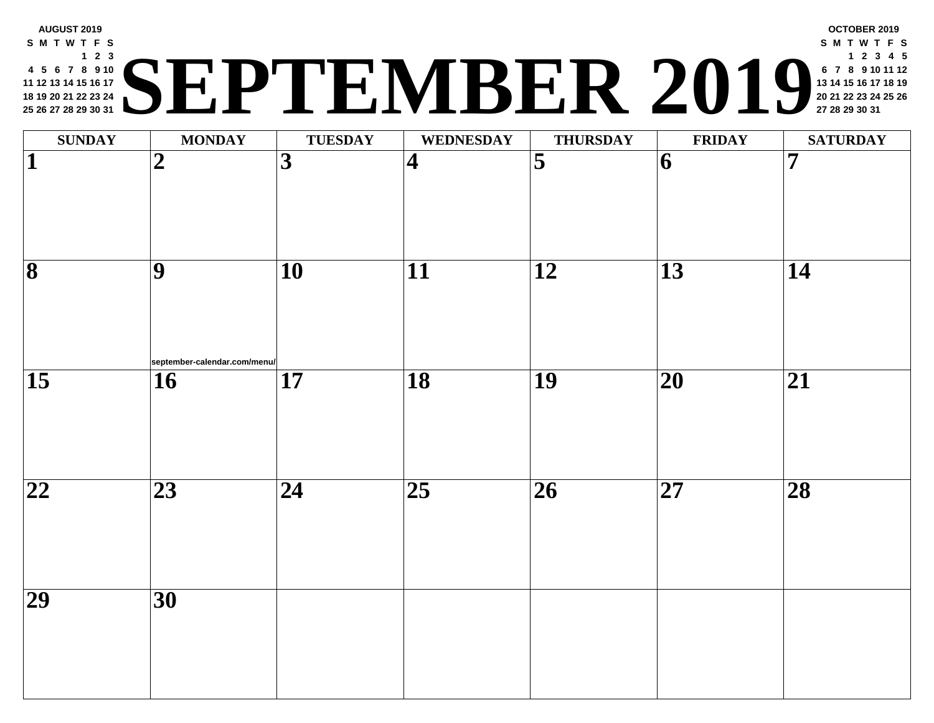#### **AUGUST 2019 S M T W T F S 2 3 5 6 7 8 9 10 12 13 14 15 16 17 19 20 21 22 23 24 26 27 28 29 30 31 <sup>20</sup> <sup>21</sup> <sup>22</sup> <sup>23</sup> <sup>24</sup> <sup>25</sup> <sup>26</sup> SEPTEMBER 2019 <sup>27</sup> <sup>28</sup> <sup>29</sup> <sup>30</sup> <sup>31</sup>**

| <b>SUNDAY</b>                | <b>MONDAY</b>                             | <b>TUESDAY</b>  | WEDNESDAY               | <b>THURSDAY</b>         | <b>FRII</b>              |
|------------------------------|-------------------------------------------|-----------------|-------------------------|-------------------------|--------------------------|
| $\overline{\mathbf{1}}$      | $\boldsymbol{2}$                          | $\overline{3}$  | $\overline{\mathbf{4}}$ | $\overline{\mathbf{5}}$ | $\vert 6 \vert$          |
| $\overline{\mathbf{8}}$      | $\overline{9}$                            | $\overline{10}$ | $\overline{11}$         | $\overline{12}$         | $\overline{13}$          |
| $\overline{15}$              | september-calendar.com/menu/<br><b>16</b> | $\overline{17}$ | $\overline{18}$         | $\overline{19}$         | $\overline{\mathbf{20}}$ |
| $\overline{\boldsymbol{22}}$ | $\overline{23}$                           | $\overline{24}$ | $\overline{25}$         | $\overline{26}$         | $\overline{\mathbf{27}}$ |
| $\overline{29}$              | $\overline{30}$                           |                 |                         |                         |                          |
|                              |                                           |                 |                         |                         |                          |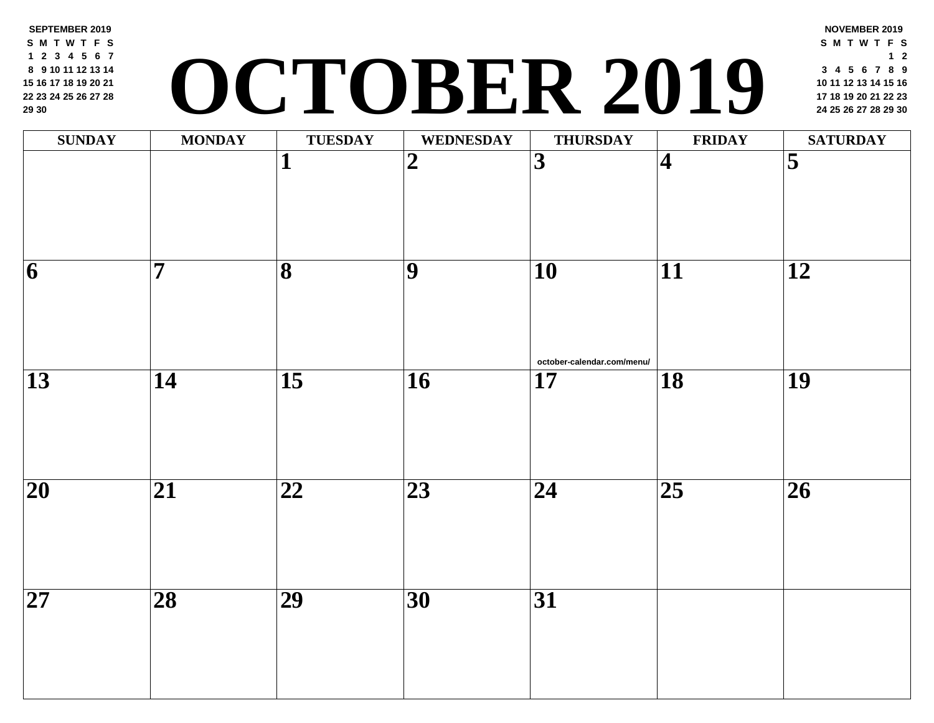**SEPTEMBER 2019 S M T W T F S 2 3 4 5 6 7 9 10 11 12 13 14 16 17 18 19 20 21 23 24 25 26 27 28 30**

# **<sup>17</sup> <sup>18</sup> <sup>19</sup> <sup>20</sup> <sup>21</sup> <sup>22</sup> <sup>23</sup> OCTOBER 2019 <sup>24</sup> <sup>25</sup> <sup>26</sup> <sup>27</sup> <sup>28</sup> <sup>29</sup> <sup>30</sup>**

| <b>SUNDAY</b>           | <b>MONDAY</b>           | <b>TUESDAY</b>           | <b>WEDNESDAY</b> | <b>THURSDAY</b>                               | FRII            |
|-------------------------|-------------------------|--------------------------|------------------|-----------------------------------------------|-----------------|
|                         |                         | $\overline{\mathbf{1}}$  | $\overline{2}$   | $\overline{3}$                                | $\vert 4 \vert$ |
| $\overline{\mathbf{6}}$ | $\overline{\mathbf{7}}$ | $\overline{\mathbf{8}}$  | $\overline{9}$   | $\overline{10}$                               | $\overline{11}$ |
| $\overline{13}$         | $\overline{14}$         | $\overline{15}$          | $\overline{16}$  | october-calendar.com/menu/<br>$\overline{17}$ | $\overline{18}$ |
| $\overline{20}$         | $\overline{21}$         | $\overline{\mathbf{22}}$ | $\overline{23}$  | $\overline{24}$                               | $\overline{25}$ |
| $\overline{27}$         | $\overline{28}$         | $\overline{29}$          | $\overline{30}$  | $\overline{31}$                               |                 |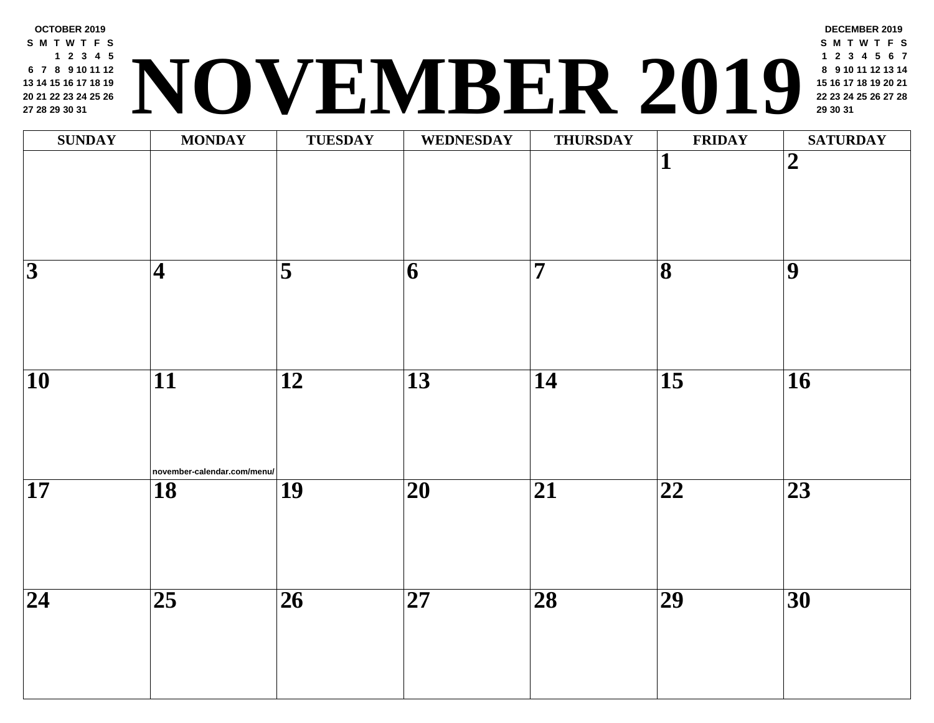

| <b>SUNDAY</b>            | <b>MONDAY</b>                                  | <b>TUESDAY</b>          | <b>WEDNESDAY</b>         | <b>THURSDAY</b> | FRII                    |
|--------------------------|------------------------------------------------|-------------------------|--------------------------|-----------------|-------------------------|
|                          |                                                |                         |                          |                 | $\mathbf{1}$            |
|                          |                                                |                         |                          |                 |                         |
| $\overline{3}$           | $\vert\mathbf{4}\vert$                         | $\overline{\mathbf{5}}$ | $\vert 6 \vert$          | $\overline{7}$  | $\overline{\mathbf{8}}$ |
| $\overline{\mathbf{10}}$ | $\overline{11}$<br>november-calendar.com/menu/ | $\overline{12}$         | $\overline{13}$          | $\overline{14}$ | $\overline{15}$         |
| $\overline{\mathbf{17}}$ | $\overline{18}$                                | $\overline{19}$         | $\overline{20}$          | $\overline{21}$ | $\overline{22}$         |
| $\overline{24}$          | $\overline{25}$                                | $\overline{26}$         | $\overline{\mathbf{27}}$ | $\overline{28}$ | $\overline{29}$         |